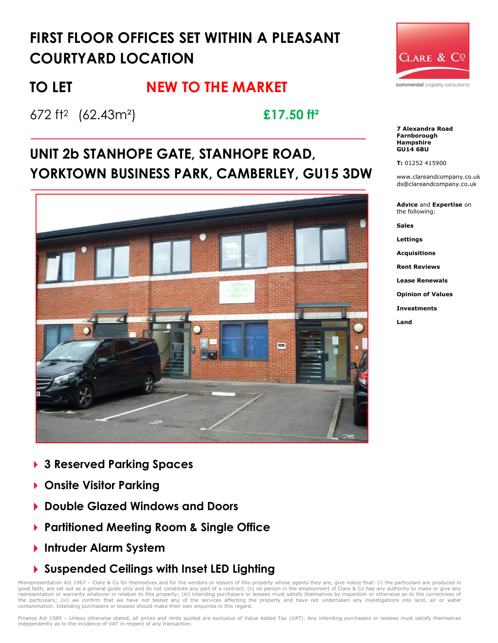# **FIRST FLOOR OFFICES SET WITHIN A PLEASANT COURTYARD LOCATION**

# TO LET **NEW TO THE MARKET**

672 ft<sup>2</sup> (62.43m²) **£17.50 ft²**

# **UNIT 2b STANHOPE GATE, STANHOPE ROAD, YORKTOWN BUSINESS PARK, CAMBERLEY, GU15 3DW**



- **3 Reserved Parking Spaces**
- **Onsite Visitor Parking**
- **Double Glazed Windows and Doors**
- **Partitioned Meeting Room & Single Office**
- **Intruder Alarm System**
- **Suspended Ceilings with Inset LED Lighting**

Misrepresentation Act 1967 - Clare & Co for themselves and for the vendors or lessors of this property whose agents they are, give notice that: (i) the particulars are produced in good faith, are set out as a general guide only and do not constitute any part of a contract; (ii) no person in the employment of Clare & Co has any authority to make or give any<br>representation or warranty whatever in rela the particulars; (iv) we confirm that we have not tested any of the services affecting the property and have not undertaken any investigations into land, air or water contamination. Intending purchasers or lessees should make their own enquiries in this regard.



**7 Alexandra Road Farnborough Hampshire GU14 6BU**

#### **T:** 01252 415900

www.clareandcompany.co.uk ds@clareandcompany.co.uk

**Advice** and **Expertise** on the following:

**Sales**

**Lettings**

**Acquisitions**

**Rent Reviews**

**Lease Renewals**

**Opinion of Values**

**Investments**

**Land**

Finance Act 1989 - Unless otherwise stated, all prices and rents quoted are exclusive of Value Added Tax (VAT). Any intending purchasers or lessees must satisfy themselves independently as to the incidence of VAT in respect of any transaction.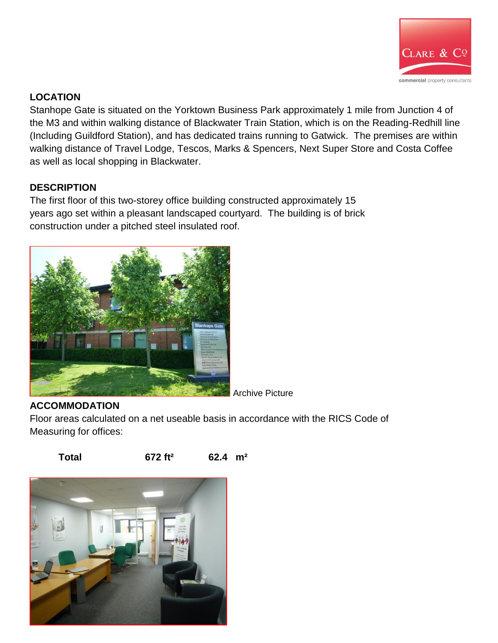

### **LOCATION**

Stanhope Gate is situated on the Yorktown Business Park approximately 1 mile from Junction 4 of the M3 and within walking distance of Blackwater Train Station, which is on the Reading-Redhill line (Including Guildford Station), and has dedicated trains running to Gatwick. The premises are within walking distance of Travel Lodge, Tescos, Marks & Spencers, Next Super Store and Costa Coffee as well as local shopping in Blackwater.

#### **DESCRIPTION**

The first floor of this two-storey office building constructed approximately 15 years ago set within a pleasant landscaped courtyard. The building is of brick construction under a pitched steel insulated roof.



#### **ACCOMMODATION**

Floor areas calculated on a net useable basis in accordance with the RICS Code of Measuring for offices:

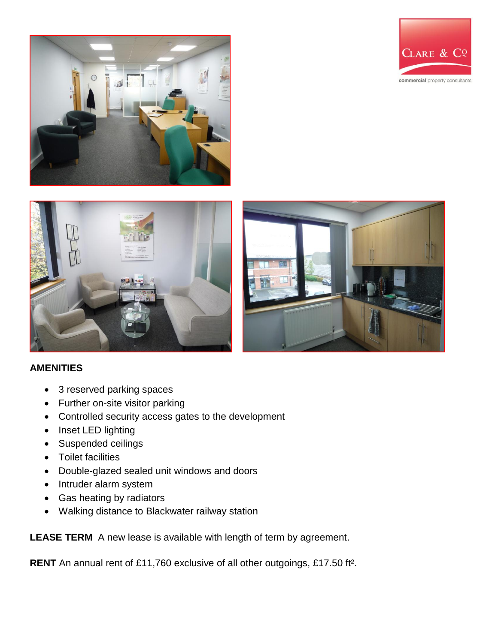







#### **AMENITIES**

- 3 reserved parking spaces
- Further on-site visitor parking
- Controlled security access gates to the development
- Inset LED lighting
- Suspended ceilings
- Toilet facilities
- Double-glazed sealed unit windows and doors
- Intruder alarm system
- Gas heating by radiators
- Walking distance to Blackwater railway station

**LEASE TERM** A new lease is available with length of term by agreement.

**RENT** An annual rent of £11,760 exclusive of all other outgoings, £17.50 ft².